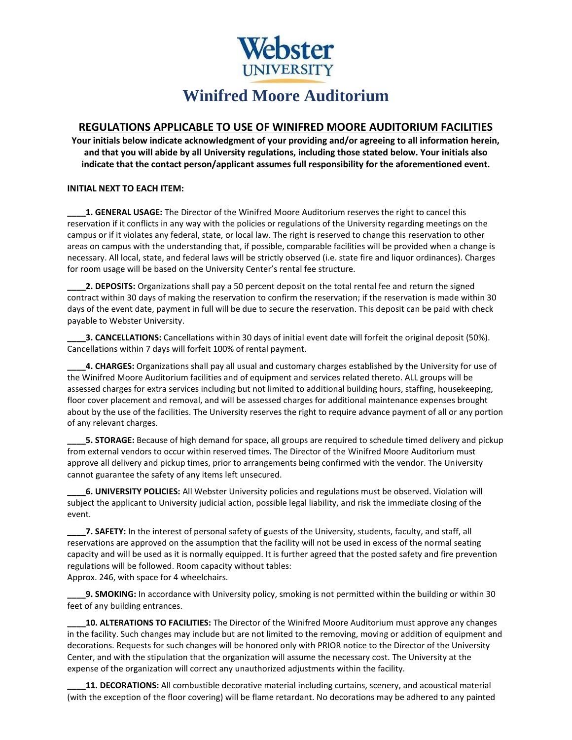

## **REGULATIONS APPLICABLE TO USE OF WINIFRED MOORE AUDITORIUM FACILITIES**

**Your initials below indicate acknowledgment of your providing and/or agreeing to all information herein, and that you will abide by all University regulations, including those stated below. Your initials also indicate that the contact person/applicant assumes full responsibility for the aforementioned event.**

## **INITIAL NEXT TO EACH ITEM:**

**\_\_\_\_1. GENERAL USAGE:** The Director of the Winifred Moore Auditorium reserves the right to cancel this reservation if it conflicts in any way with the policies or regulations of the University regarding meetings on the campus or if it violates any federal, state, or local law. The right is reserved to change this reservation to other areas on campus with the understanding that, if possible, comparable facilities will be provided when a change is necessary. All local, state, and federal laws will be strictly observed (i.e. state fire and liquor ordinances). Charges for room usage will be based on the University Center's rental fee structure.

**\_\_\_\_2. DEPOSITS:** Organizations shall pay a 50 percent deposit on the total rental fee and return the signed contract within 30 days of making the reservation to confirm the reservation; if the reservation is made within 30 days of the event date, payment in full will be due to secure the reservation. This deposit can be paid with check payable to Webster University.

**\_\_\_\_3. CANCELLATIONS:** Cancellations within 30 days of initial event date will forfeit the original deposit (50%). Cancellations within 7 days will forfeit 100% of rental payment.

**\_\_\_\_4. CHARGES:** Organizations shall pay all usual and customary charges established by the University for use of the Winifred Moore Auditorium facilities and of equipment and services related thereto. ALL groups will be assessed charges for extra services including but not limited to additional building hours, staffing, housekeeping, floor cover placement and removal, and will be assessed charges for additional maintenance expenses brought about by the use of the facilities. The University reserves the right to require advance payment of all or any portion of any relevant charges.

**\_\_\_\_5. STORAGE:** Because of high demand for space, all groups are required to schedule timed delivery and pickup from external vendors to occur within reserved times. The Director of the Winifred Moore Auditorium must approve all delivery and pickup times, prior to arrangements being confirmed with the vendor. The University cannot guarantee the safety of any items left unsecured.

**\_\_\_\_6. UNIVERSITY POLICIES:** All Webster University policies and regulations must be observed. Violation will subject the applicant to University judicial action, possible legal liability, and risk the immediate closing of the event.

**7. SAFETY:** In the interest of personal safety of guests of the University, students, faculty, and staff, all reservations are approved on the assumption that the facility will not be used in excess of the normal seating capacity and will be used as it is normally equipped. It is further agreed that the posted safety and fire prevention regulations will be followed. Room capacity without tables: Approx. 246, with space for 4 wheelchairs.

**9. SMOKING:** In accordance with University policy, smoking is not permitted within the building or within 30 feet of any building entrances.

**\_\_\_\_10. ALTERATIONS TO FACILITIES:** The Director of the Winifred Moore Auditorium must approve any changes in the facility. Such changes may include but are not limited to the removing, moving or addition of equipment and decorations. Requests for such changes will be honored only with PRIOR notice to the Director of the University Center, and with the stipulation that the organization will assume the necessary cost. The University at the expense of the organization will correct any unauthorized adjustments within the facility.

**\_\_\_\_11. DECORATIONS:** All combustible decorative material including curtains, scenery, and acoustical material (with the exception of the floor covering) will be flame retardant. No decorations may be adhered to any painted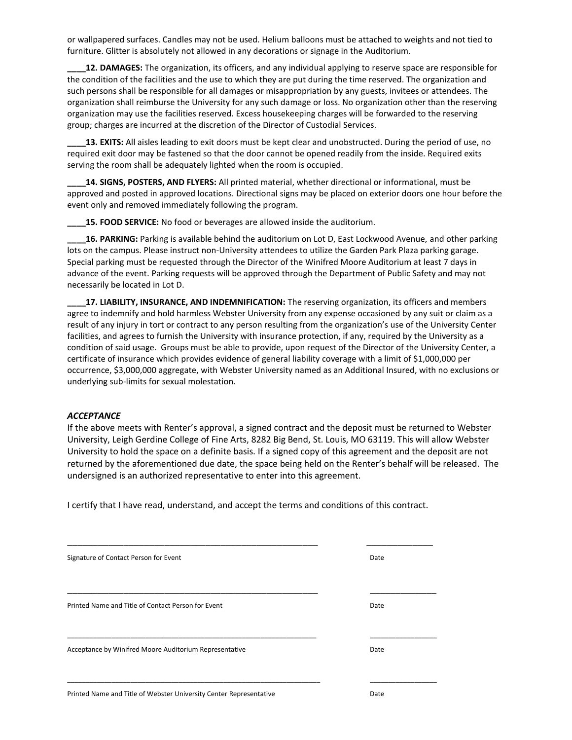or wallpapered surfaces. Candles may not be used. Helium balloons must be attached to weights and not tied to furniture. Glitter is absolutely not allowed in any decorations or signage in the Auditorium.

**\_\_\_\_12. DAMAGES:** The organization, its officers, and any individual applying to reserve space are responsible for the condition of the facilities and the use to which they are put during the time reserved. The organization and such persons shall be responsible for all damages or misappropriation by any guests, invitees or attendees. The organization shall reimburse the University for any such damage or loss. No organization other than the reserving organization may use the facilities reserved. Excess housekeeping charges will be forwarded to the reserving group; charges are incurred at the discretion of the Director of Custodial Services.

13. EXITS: All aisles leading to exit doors must be kept clear and unobstructed. During the period of use, no required exit door may be fastened so that the door cannot be opened readily from the inside. Required exits serving the room shall be adequately lighted when the room is occupied.

**\_\_\_\_14. SIGNS, POSTERS, AND FLYERS:** All printed material, whether directional or informational, must be approved and posted in approved locations. Directional signs may be placed on exterior doors one hour before the event only and removed immediately following the program.

**15. FOOD SERVICE:** No food or beverages are allowed inside the auditorium.

**\_\_\_\_16. PARKING:** Parking is available behind the auditorium on Lot D, East Lockwood Avenue, and other parking lots on the campus. Please instruct non-University attendees to utilize the Garden Park Plaza parking garage. Special parking must be requested through the Director of the Winifred Moore Auditorium at least 7 days in advance of the event. Parking requests will be approved through the Department of Public Safety and may not necessarily be located in Lot D.

**\_\_\_\_17. LIABILITY, INSURANCE, AND INDEMNIFICATION:** The reserving organization, its officers and members agree to indemnify and hold harmless Webster University from any expense occasioned by any suit or claim as a result of any injury in tort or contract to any person resulting from the organization's use of the University Center facilities, and agrees to furnish the University with insurance protection, if any, required by the University as a condition of said usage. Groups must be able to provide, upon request of the Director of the University Center, a certificate of insurance which provides evidence of general liability coverage with a limit of \$1,000,000 per occurrence, \$3,000,000 aggregate, with Webster University named as an Additional Insured, with no exclusions or underlying sub-limits for sexual molestation.

## *ACCEPTANCE*

If the above meets with Renter's approval, a signed contract and the deposit must be returned to Webster University, Leigh Gerdine College of Fine Arts, 8282 Big Bend, St. Louis, MO 63119. This will allow Webster University to hold the space on a definite basis. If a signed copy of this agreement and the deposit are not returned by the aforementioned due date, the space being held on the Renter's behalf will be released. The undersigned is an authorized representative to enter into this agreement.

I certify that I have read, understand, and accept the terms and conditions of this contract.

| Signature of Contact Person for Event                              | Date |
|--------------------------------------------------------------------|------|
|                                                                    |      |
| Printed Name and Title of Contact Person for Event                 | Date |
| Acceptance by Winifred Moore Auditorium Representative             | Date |
| Printed Name and Title of Webster University Center Representative | Date |